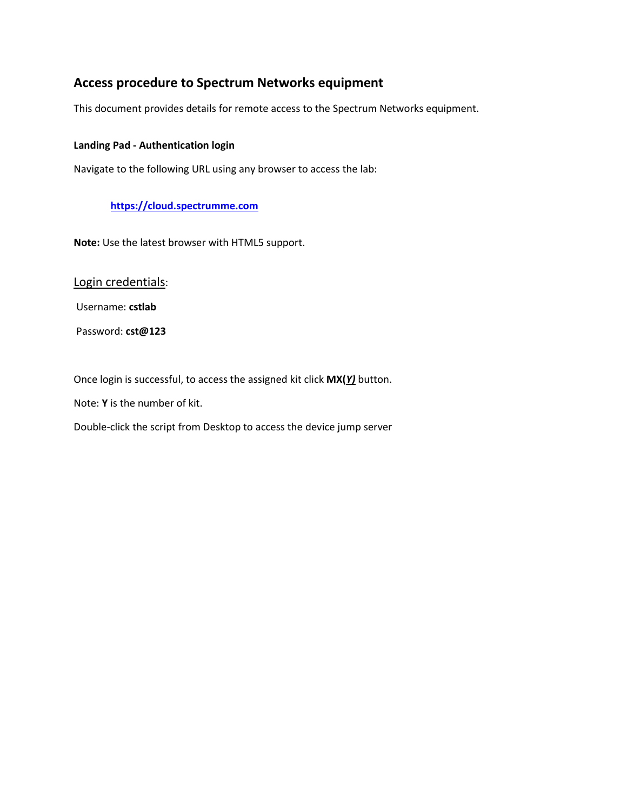# **Access procedure to Spectrum Networks equipment**

This document provides details for remote access to the Spectrum Networks equipment.

### **Landing Pad - Authentication login**

Navigate to the following URL using any browser to access the lab:

## **[https://cloud.spectrumme.com](https://cloud.spectrumme.com/)**

**Note:** Use the latest browser with HTML5 support.

Login credentials:

Username: **cstlab**

Password: **cst@123**

Once login is successful, to access the assigned kit click **MX(***Y)* button.

Note: **Y** is the number of kit.

Double-click the script from Desktop to access the device jump server